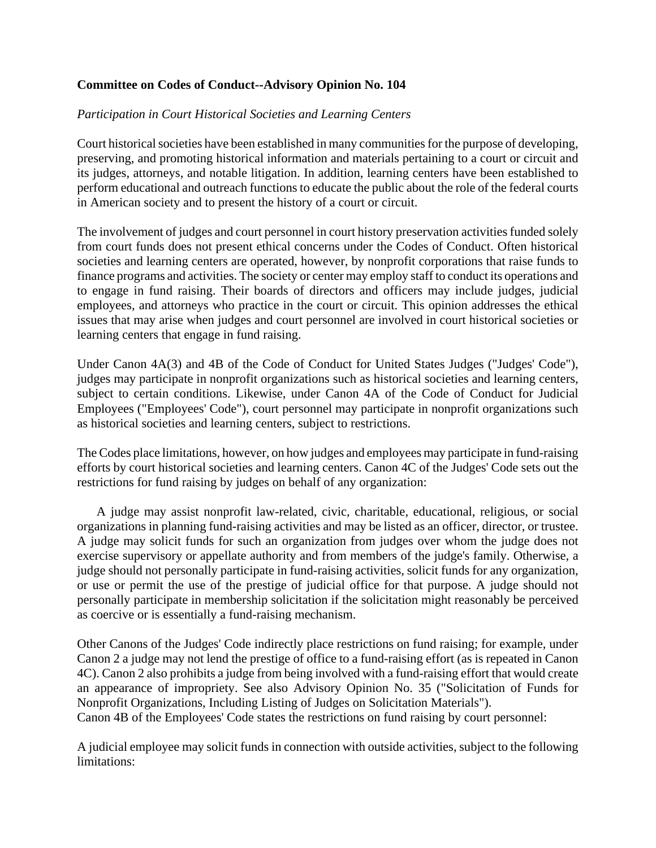## **Committee on Codes of Conduct--Advisory Opinion No. 104**

## *Participation in Court Historical Societies and Learning Centers*

Court historical societies have been established in many communities for the purpose of developing, preserving, and promoting historical information and materials pertaining to a court or circuit and its judges, attorneys, and notable litigation. In addition, learning centers have been established to perform educational and outreach functions to educate the public about the role of the federal courts in American society and to present the history of a court or circuit.

The involvement of judges and court personnel in court history preservation activities funded solely from court funds does not present ethical concerns under the Codes of Conduct. Often historical societies and learning centers are operated, however, by nonprofit corporations that raise funds to finance programs and activities. The society or center may employ staff to conduct its operations and to engage in fund raising. Their boards of directors and officers may include judges, judicial employees, and attorneys who practice in the court or circuit. This opinion addresses the ethical issues that may arise when judges and court personnel are involved in court historical societies or learning centers that engage in fund raising.

Under Canon 4A(3) and 4B of the Code of Conduct for United States Judges ("Judges' Code"), judges may participate in nonprofit organizations such as historical societies and learning centers, subject to certain conditions. Likewise, under Canon 4A of the Code of Conduct for Judicial Employees ("Employees' Code"), court personnel may participate in nonprofit organizations such as historical societies and learning centers, subject to restrictions.

The Codes place limitations, however, on how judges and employees may participate in fund-raising efforts by court historical societies and learning centers. Canon 4C of the Judges' Code sets out the restrictions for fund raising by judges on behalf of any organization:

 A judge may assist nonprofit law-related, civic, charitable, educational, religious, or social organizations in planning fund-raising activities and may be listed as an officer, director, or trustee. A judge may solicit funds for such an organization from judges over whom the judge does not exercise supervisory or appellate authority and from members of the judge's family. Otherwise, a judge should not personally participate in fund-raising activities, solicit funds for any organization, or use or permit the use of the prestige of judicial office for that purpose. A judge should not personally participate in membership solicitation if the solicitation might reasonably be perceived as coercive or is essentially a fund-raising mechanism.

Other Canons of the Judges' Code indirectly place restrictions on fund raising; for example, under Canon 2 a judge may not lend the prestige of office to a fund-raising effort (as is repeated in Canon 4C). Canon 2 also prohibits a judge from being involved with a fund-raising effort that would create an appearance of impropriety. See also Advisory Opinion No. 35 ("Solicitation of Funds for Nonprofit Organizations, Including Listing of Judges on Solicitation Materials").

Canon 4B of the Employees' Code states the restrictions on fund raising by court personnel:

A judicial employee may solicit funds in connection with outside activities, subject to the following limitations: